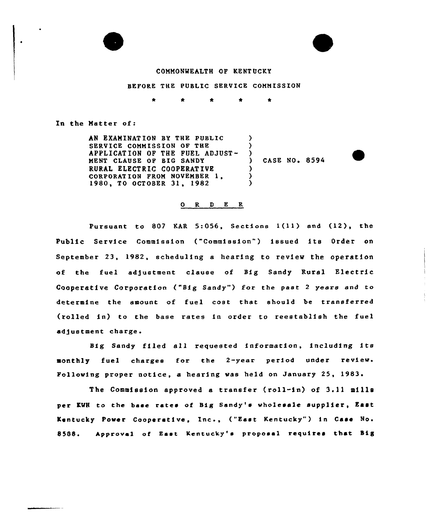

#### COMMONWEALTH OF KENTUCKY

BEFORE THE PUBLIC SERVICE COMMISSION

In the Matter of:

AN EXAMINATION BY THE PUBLIC SERVICE COMMISSION OF THE APPLICATION OF THE FUEL ADJUST-MENT CLAUSE OP BIG SANDY RURAL ELECTRIC COOPERATIVE CORPORATION FROM NOVEMBER 1. 1980, TO OCTOBER 31, 1982  $\lambda$ ) )<br>) ) )  $\lambda$ 

) CASE NO <sup>~</sup> 8594



#### 0 R <sup>D</sup> E R

Pursuant to <sup>807</sup> KAR 5:056, Sections l(ll) and (12), the Public Service Commission ("Commission") issued its Order on September 23, 1982, scheduling a hearing to review the operation of the fuel adjustment clause of Big Sandy Rural Electric Cooperative Corporation ("Big Sandy") for the past 2 years and to determine the amount of fuel cost that should be transferred (rolled in) to the base rates in order to reestablish the fuel adjustment charge.

Big Sandy filed all requested information, including its monthly fuel charges for the 2-year period under review Following proper notice, a hearing was held on January 25, 1983

The Commission approved a transfer (roll-in) of 3.11 mills per KWH to the base rates of Big Sandy's wholesale supplier, East Kentucky Power Cooperative, Inc., ("East Kentucky") in Case No. 8588. Approval of East Kentucky's proposal requires that Big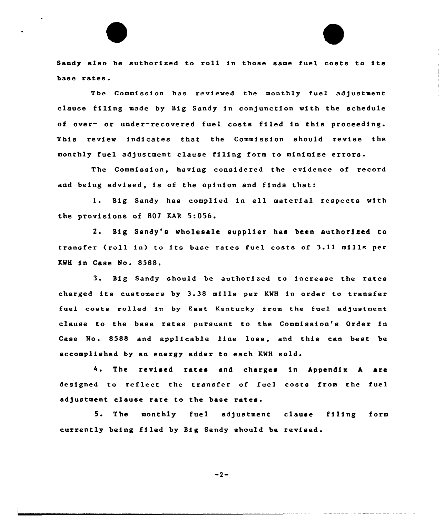Sandy also be authorized to roll in those same fuel costs to its base rates.

The Commission has reviewed the monthly fuel adjustment clause filing made by Big Sandy in conjunction with the schedule of over- or under-recovered fuel costs filed in this proceeding. This review indicates that the Commission should revise the monthly fuel adjustment clause filing form to minimize errors

The Commission, having considered the evidence of record and being advised, is of the opinion and finds that:

1. Big Sandy has complied in all material respects with the provisions of 807 KAR 5:056.

2. Big Sandy'a wholesale supplier haa been authorized to transfer (roll in) ta its base rates fuel costs of 3.11 mills per KWH in Case No. 8588.

<sup>3</sup> Big Sandy should be authorized to increase the rates charged its customers by 3.38 mills per KWH in order to transfer fuel costs rolled in by East Kentucky from the fuel adjustment clause to the base rates pursuant to the Commission's Order in Case No. 8588 and applicable line loss, and this can best be accomplished by an energy adder to each KMH sold.

4. The revised rates and charges in Appendix A are designed to reflect the transfer of fuel costs from the fuel adjustment clause rate to the base rates.

5. The monthly fuel adjustment clause filing form currently being filed by Big Sandy should be revised.

 $-2-$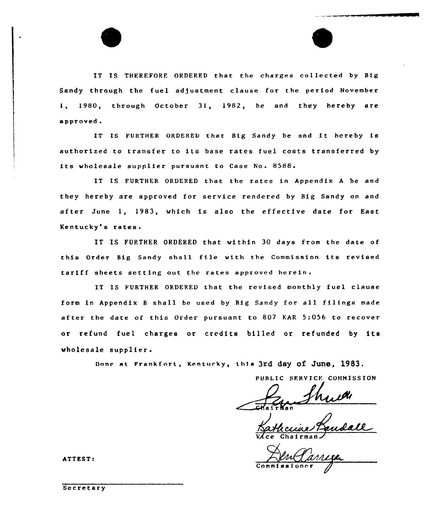IT IS THEREFORF. ORDERED that the charges collected by Big Sandy through the fuel adjustment clause for the period November 1, 1980, through October 31, 1982, be and they hereby are approved.

IT IS FURTHER ORDERED that Big Sandy be and it hereby is authorized to transfer to its base rates fuel costs transferred by its wholesale supplier pursuant to Case No. 8588.

IT IS FURTHER ORDERED that the rates in Appendix <sup>A</sup> be and they hereby are approved for service rendered by Big Sandy on and after June 1, 1983, which is also the effective date for East Kentucky's rates.

IT IS FURTHER ORDERED that within 30 days from the date of this Order Big Sandy shall file with the Commission its revised tariff sheets setting out the rates approved herein.

IT IS FURTHER ORDERED that the revised monthly fuel clause form in Appendix <sup>8</sup> shall be used by Big Sandy for all filings made after the date of this Order pursuant to 807 KAR 5:056 to recover or refund fuel charges or credits billed or refunded by its wholesale supplier.

Done at Frankfort, Kentucky, this 3rd day of June, 1983.

PUBLIC SFRVICF. COHNISSION

<u>ccia</u> VAce

Commissione

ATTEST:

Secretary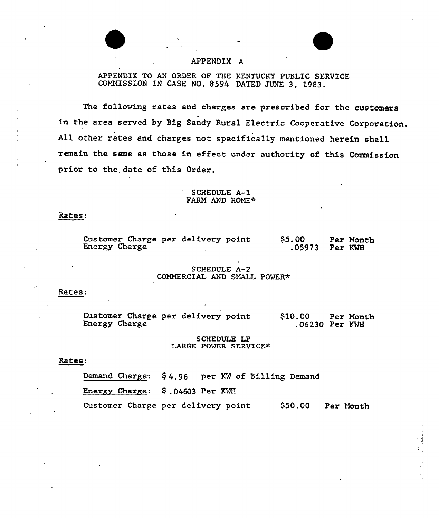# APPENDIX A

APPENDIX TO AN ORDER OF THE KENTUCKY PUBLIC SERVICE COMMISSION IN CASE NO. 8594 DATED JUNE 3, 1983.

The following rates and charges are prescribed for the customers in the area served by Big Sandy Rural Electric Cooperative Corporation. All other rates and charges not specifically mentioned herein shall remain the same as those in effect under authority of this Commission prior to the. date of this Order.

## SCHEDULE A-1 FARM AND HOME\*

### Rates:

| Customer Charge per delivery point |  | \$5.00         | Per Month |
|------------------------------------|--|----------------|-----------|
| Energy Charge                      |  | .05973 Per KWH |           |

## SCHEDULE A-2 COMMERCIAL AND SMALL POWER+

#### Rates:

Customer Charge per delivery point Energy Charge ~<10.00 Per Month 06230 Per FMH

### SCHEDULE LP LARGE POWER SERVICE\*

# Rates:

.Demand Charge.: \$ 4.96 per KM of Billing Demand

Energy Charge: \$ .04603 Per KHH

Customer Charge per delivery point  $$50.00$  Per Month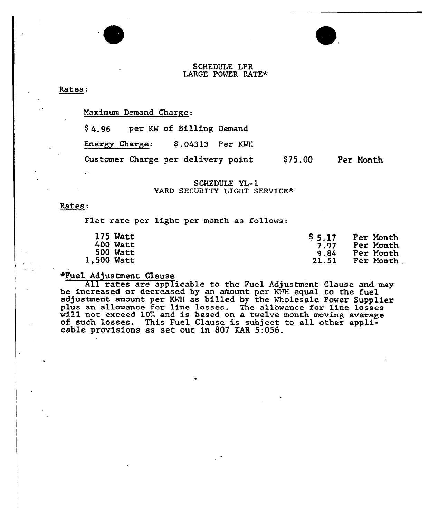# SCHEDULE LPR LARGE POWER RATE\*

Rates:

## Maximum Demand Charge:

\$ 4.96 per KW of Billing Demand

Energy Charge: \$.04313 Per KWH

Customer Charge per delivery point \$75.00 Per Month

# SCHEDULE YL-1 YARD SECURITY LIGHT SERVICE\*

#### Rates:

Flat rate per light per month as follows:

| 175 Watt   | \$5.17 | Per Month |
|------------|--------|-----------|
| $400$ Watt | 7.97   | Per Month |
| 500 Watt   | 9.84   | Per Month |
| 1,500 Watt | 21.51  | Per Month |

\*Fuel Adjustment Clause<br>All rates are applicable to the Fuel Adjustment Clause and may be increased or decreased by an amount per KWH equal to the fuel adjustment amount, per KWH as billed by the Wholesale Power Supplier plus an allowance for line losses. The allowance for line losses will not exceed 10% and is based on a twelve month moving average of such losses. This Fuel Clause is subject to all other applicable provisions as set out i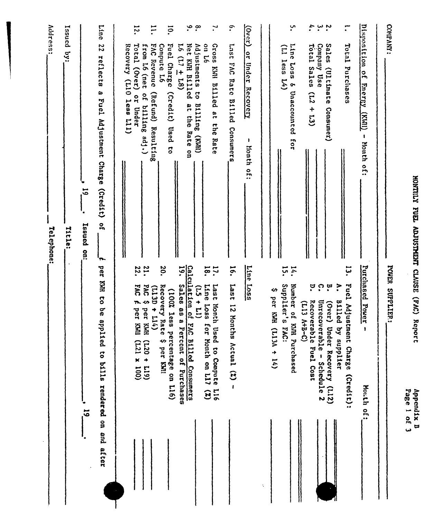|                |                                                                                                                                           | <b>Nutess:</b><br>Telephone:                                                                                       |
|----------------|-------------------------------------------------------------------------------------------------------------------------------------------|--------------------------------------------------------------------------------------------------------------------|
|                |                                                                                                                                           | Tssued by:<br>Title:                                                                                               |
| $\overline{5}$ |                                                                                                                                           | $\overline{5}$<br>Issued on:                                                                                       |
|                | per KWH to be appl<br>lied to bills rendered on and after                                                                                 | <b>Line</b><br>22<br>reflects<br>$\boldsymbol{\omega}$<br>Fuel Adjustment Charge<br>(2, 1)<br>$\frac{1}{2}$<br>'n, |
|                | 22.<br><b>EAC</b><br>$\blacktriangleright$<br>per KWI<br>$(001 \times 127)$                                                               | $\overline{5}$<br>Total (Over)<br>Recovery<br>(110 1ess 111)<br>or Under<br>И                                      |
|                | 21.<br><b>DAC</b><br>$(113D + 114)$<br>↭<br>per KWH<br>$(617 + 027)$                                                                      | $\Xi$<br><b>FAC Revenue</b><br>from L6 (net<br>of billing adj.)<br>(Refund) Resulting                              |
|                | 20.<br>Recovery Rate<br>(100% less percentage on L16)<br>\$ per KMI                                                                       | $\overline{5}$<br>Fuel Charge (Credit)<br>Compute L6<br>Used to                                                    |
|                | Calculation of<br>$\ddot{\bm{5}}$<br>Sales as a P<br>$(11 + 51)$<br>FAC Billed Consumers<br>ercent of Purchases                           | $\cdot$ $\circ$<br>Net KWH Billed<br>Adjustments to<br>$16(17 \pm 18)$<br>B1111ng (KWH)<br>at the Rate on          |
|                | 18.<br>$\ddot{u}$<br>Line Loss<br>Last Month Used to Compute L16<br>for Month on L11 (Z)                                                  | $\mathbf{r}$<br>97 no<br>Gross KWI Billed at the Rate                                                              |
|                | 16.<br><b>Last</b><br>12 Months Actual $(2)$ -                                                                                            | $\cdot$<br>DVJ 1817<br>Rate Billed<br>Consumera                                                                    |
|                | Line Loss                                                                                                                                 | $\overline{(3300)}$<br>$\frac{1}{2}$<br>Under<br>Recovery<br>1<br>Month of:                                        |
| t.             |                                                                                                                                           |                                                                                                                    |
|                | 14.<br>Supplier's FAC:<br>Number of KMH Purchased<br>∽<br>per KMH (L13A + 14)                                                             | ب.<br>Line Loss<br>(Il less<br>$\mathbf{L}$<br>& Unaccounted for                                                   |
|                | $\ddot{\Omega}$<br>P.<br>Recoverable Fuel Cost<br>Unrecoverable -<br>$(113 A+B-C)$<br>Schedule 2                                          | ÷,<br>ب ب<br>.<br>Company Use<br>Total Sales<br>(12)<br>$+13)$                                                     |
|                | تبا<br>•<br>$\ddot{\cdot}$<br>Fuel Adjustment Charge (Credit):<br>$\mathbf{\dot{a}}$<br>Billed by supplier<br>(Over) Under Recovery (L12) | ;<br><b>Salas</b><br>Total Purclases<br>(Ultimate<br>Consumer)                                                     |
|                | Purchased Power<br>$\pmb{\cdot}$<br>Honth of:                                                                                             | Disposition of<br>Energy<br>$\frac{1}{\text{min}}$<br>- Month of:                                                  |
|                | <b>Nanod</b><br>SUPPLIER:                                                                                                                 | COMPANY:                                                                                                           |
| Page 1 of 3    | Appendix B                                                                                                                                | MONTILY FUEL ADUSTMENT CLAUSE (FAC) Report                                                                         |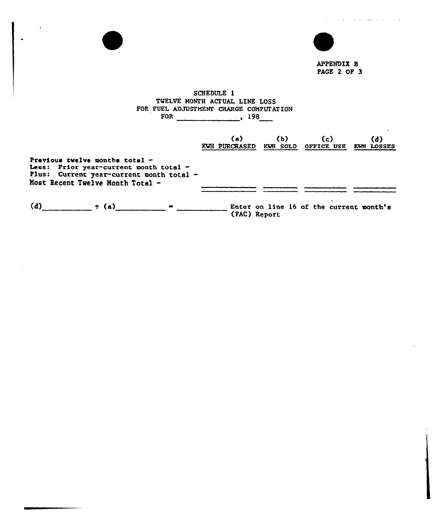

APPENDIX B PACE 2 OF 3

فالمراد والفراسين فالفرد فالفرد المتا

# SCHEDULE 1 TWELVE MONTH ACTUAL LINE LOSS FOR FUEL ADJUSTMENT CHARGE COMPUTATIO  $FOR$  198

 $\mathcal{L}^{\mathcal{L}}(\mathcal{L}^{\mathcal{L}})$  and  $\mathcal{L}^{\mathcal{L}}(\mathcal{L}^{\mathcal{L}})$  . The contribution of  $\mathcal{L}^{\mathcal{L}}$ 

|                                                                                                                                                            | (a)<br><b>KWH PURCHASED</b> | (b)<br>KWH SOLD | (c)<br>OFFICE USE                       | (d)<br>KWH LOSSES |
|------------------------------------------------------------------------------------------------------------------------------------------------------------|-----------------------------|-----------------|-----------------------------------------|-------------------|
| Pravious twelve months total $-$<br>Less: Prior year-current month total -<br>Plus: Current year-current month total -<br>Most Recent Twelve Month Total - |                             |                 |                                         |                   |
| (d)<br>$\div$ (a)                                                                                                                                          |                             | (FAC) Report    | Enter on line 16 of the current month's |                   |